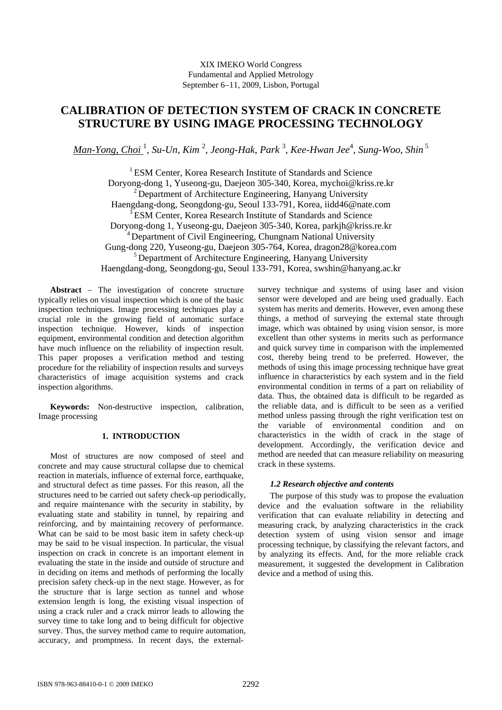# **CALIBRATION OF DETECTION SYSTEM OF CRACK IN CONCRETE STRUCTURE BY USING IMAGE PROCESSING TECHNOLOGY**

*Man-Yong, Choi* <sup>1</sup> *, Su-Un*, *Kim* <sup>2</sup> *, Jeong-Hak, Park* <sup>3</sup> , *Kee-Hwan Jee*<sup>4</sup> *, Sung-Woo*, *Shin*<sup>5</sup>

<sup>1</sup> ESM Center, Korea Research Institute of Standards and Science Doryong-dong 1, Yuseong-gu, Daejeon 305-340, Korea, mychoi@kriss.re.kr  $2$  Department of Architecture Engineering, Hanyang University Haengdang-dong, Seongdong-gu, Seoul 133-791, Korea, iidd46@nate.com <sup>3</sup> ESM Center, Korea Research Institute of Standards and Science Doryong-dong 1, Yuseong-gu, Daejeon 305-340, Korea, parkjh@kriss.re.kr  $4$  Department of Civil Engineering, Chungnam National University Gung-dong 220, Yuseong-gu, Daejeon 305-764, Korea, dragon28@korea.com <sup>5</sup> Department of Architecture Engineering, Hanyang University Haengdang-dong, Seongdong-gu, Seoul 133-791, Korea, swshin@hanyang.ac.kr

**Abstract** − The investigation of concrete structure typically relies on visual inspection which is one of the basic inspection techniques. Image processing techniques play a crucial role in the growing field of automatic surface inspection technique. However, kinds of inspection equipment, environmental condition and detection algorithm have much influence on the reliability of inspection result. This paper proposes a verification method and testing procedure for the reliability of inspection results and surveys characteristics of image acquisition systems and crack inspection algorithms.

**Keywords:** Non-destructive inspection, calibration, Image processing

## **1. INTRODUCTION**

Most of structures are now composed of steel and concrete and may cause structural collapse due to chemical reaction in materials, influence of external force, earthquake, and structural defect as time passes. For this reason, all the structures need to be carried out safety check-up periodically, and require maintenance with the security in stability, by evaluating state and stability in tunnel, by repairing and reinforcing, and by maintaining recovery of performance. What can be said to be most basic item in safety check-up may be said to be visual inspection. In particular, the visual inspection on crack in concrete is an important element in evaluating the state in the inside and outside of structure and in deciding on items and methods of performing the locally precision safety check-up in the next stage. However, as for the structure that is large section as tunnel and whose extension length is long, the existing visual inspection of using a crack ruler and a crack mirror leads to allowing the survey time to take long and to being difficult for objective survey. Thus, the survey method came to require automation, accuracy, and promptness. In recent days, the externalsurvey technique and systems of using laser and vision sensor were developed and are being used gradually. Each system has merits and demerits. However, even among these things, a method of surveying the external state through image, which was obtained by using vision sensor, is more excellent than other systems in merits such as performance and quick survey time in comparison with the implemented cost, thereby being trend to be preferred. However, the methods of using this image processing technique have great influence in characteristics by each system and in the field environmental condition in terms of a part on reliability of data. Thus, the obtained data is difficult to be regarded as the reliable data, and is difficult to be seen as a verified method unless passing through the right verification test on the variable of environmental condition and on characteristics in the width of crack in the stage of development. Accordingly, the verification device and method are needed that can measure reliability on measuring crack in these systems.

## *1.2 Research objective and contents*

The purpose of this study was to propose the evaluation device and the evaluation software in the reliability verification that can evaluate reliability in detecting and measuring crack, by analyzing characteristics in the crack detection system of using vision sensor and image processing technique, by classifying the relevant factors, and by analyzing its effects. And, for the more reliable crack measurement, it suggested the development in Calibration device and a method of using this.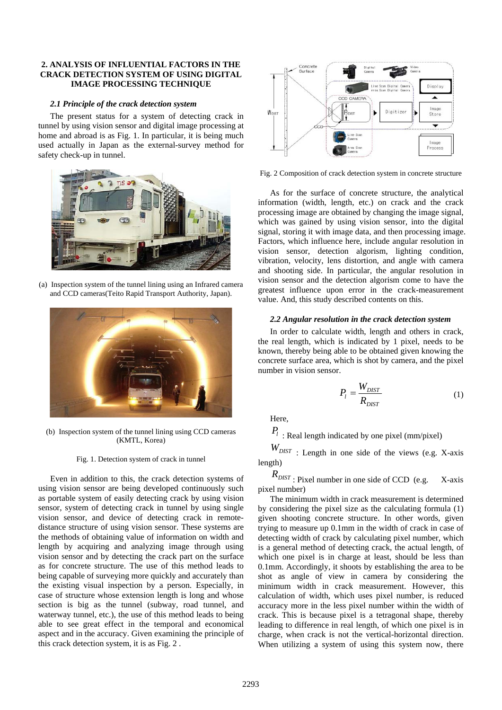## **2. ANALYSIS OF INFLUENTIAL FACTORS IN THE CRACK DETECTION SYSTEM OF USING DIGITAL IMAGE PROCESSING TECHNIQUE**

### *2.1 Principle of the crack detection system*

The present status for a system of detecting crack in tunnel by using vision sensor and digital image processing at home and abroad is as Fig. 1. In particular, it is being much used actually in Japan as the external-survey method for safety check-up in tunnel.



(a) Inspection system of the tunnel lining using an Infrared camera and CCD cameras(Teito Rapid Transport Authority, Japan).



(b) Inspection system of the tunnel lining using CCD cameras (KMTL, Korea)

#### Fig. 1. Detection system of crack in tunnel

Even in addition to this, the crack detection systems of using vision sensor are being developed continuously such as portable system of easily detecting crack by using vision sensor, system of detecting crack in tunnel by using single vision sensor, and device of detecting crack in remotedistance structure of using vision sensor. These systems are the methods of obtaining value of information on width and length by acquiring and analyzing image through using vision sensor and by detecting the crack part on the surface as for concrete structure. The use of this method leads to being capable of surveying more quickly and accurately than the existing visual inspection by a person. Especially, in case of structure whose extension length is long and whose section is big as the tunnel (subway, road tunnel, and waterway tunnel, etc.), the use of this method leads to being able to see great effect in the temporal and economical aspect and in the accuracy. Given examining the principle of this crack detection system, it is as Fig. 2 .



Fig. 2 Composition of crack detection system in concrete structure

As for the surface of concrete structure, the analytical information (width, length, etc.) on crack and the crack processing image are obtained by changing the image signal, which was gained by using vision sensor, into the digital signal, storing it with image data, and then processing image. Factors, which influence here, include angular resolution in vision sensor, detection algorism, lighting condition, vibration, velocity, lens distortion, and angle with camera and shooting side. In particular, the angular resolution in vision sensor and the detection algorism come to have the greatest influence upon error in the crack-measurement value. And, this study described contents on this.

## *2.2 Angular resolution in the crack detection system*

In order to calculate width, length and others in crack, the real length, which is indicated by 1 pixel, needs to be known, thereby being able to be obtained given knowing the concrete surface area, which is shot by camera, and the pixel number in vision sensor.

$$
P_l = \frac{W_{DIST}}{R_{DIST}}\tag{1}
$$

Here,

 $P_l$ : Real length indicated by one pixel (mm/pixel)

 $W_{DIST}$  : Length in one side of the views (e.g. X-axis) length)

 $R_{\text{DIST}}$ : Pixel number in one side of CCD (e.g. X-axis pixel number)

The minimum width in crack measurement is determined by considering the pixel size as the calculating formula (1) given shooting concrete structure. In other words, given trying to measure up 0.1mm in the width of crack in case of detecting width of crack by calculating pixel number, which is a general method of detecting crack, the actual length, of which one pixel is in charge at least, should be less than 0.1mm. Accordingly, it shoots by establishing the area to be shot as angle of view in camera by considering the minimum width in crack measurement. However, this calculation of width, which uses pixel number, is reduced accuracy more in the less pixel number within the width of crack. This is because pixel is a tetragonal shape, thereby leading to difference in real length, of which one pixel is in charge, when crack is not the vertical-horizontal direction. When utilizing a system of using this system now, there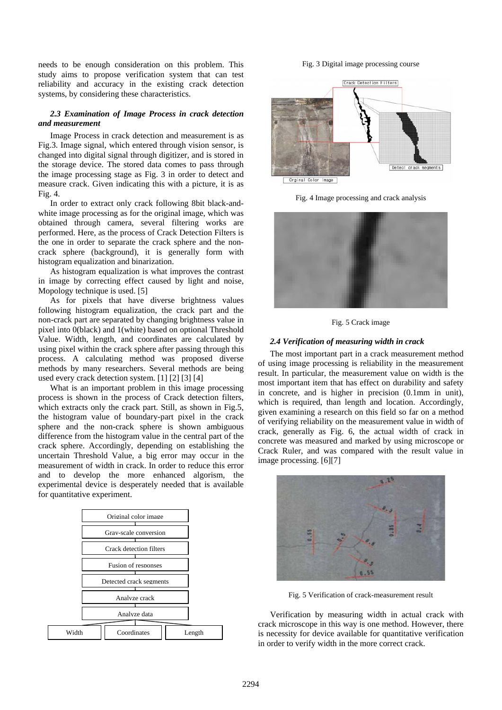needs to be enough consideration on this problem. This study aims to propose verification system that can test reliability and accuracy in the existing crack detection systems, by considering these characteristics.

## *2.3 Examination of Image Process in crack detection and measurement*

Image Process in crack detection and measurement is as Fig.3. Image signal, which entered through vision sensor, is changed into digital signal through digitizer, and is stored in the storage device. The stored data comes to pass through the image processing stage as Fig. 3 in order to detect and measure crack. Given indicating this with a picture, it is as Fig. 4.

In order to extract only crack following 8bit black-andwhite image processing as for the original image, which was obtained through camera, several filtering works are performed. Here, as the process of Crack Detection Filters is the one in order to separate the crack sphere and the noncrack sphere (background), it is generally form with histogram equalization and binarization.

As histogram equalization is what improves the contrast in image by correcting effect caused by light and noise, Mopology technique is used. [5]

As for pixels that have diverse brightness values following histogram equalization, the crack part and the non-crack part are separated by changing brightness value in pixel into 0(black) and 1(white) based on optional Threshold Value. Width, length, and coordinates are calculated by using pixel within the crack sphere after passing through this process. A calculating method was proposed diverse methods by many researchers. Several methods are being used every crack detection system. [1] [2] [3] [4]

What is an important problem in this image processing process is shown in the process of Crack detection filters, which extracts only the crack part. Still, as shown in Fig.5, the histogram value of boundary-part pixel in the crack sphere and the non-crack sphere is shown ambiguous difference from the histogram value in the central part of the crack sphere. Accordingly, depending on establishing the uncertain Threshold Value, a big error may occur in the measurement of width in crack. In order to reduce this error and to develop the more enhanced algorism, the experimental device is desperately needed that is available for quantitative experiment.



Fig. 3 Digital image processing course



Fig. 4 Image processing and crack analysis



Fig. 5 Crack image

### *2.4 Verification of measuring width in crack*

The most important part in a crack measurement method of using image processing is reliability in the measurement result. In particular, the measurement value on width is the most important item that has effect on durability and safety in concrete, and is higher in precision (0.1mm in unit), which is required, than length and location. Accordingly, given examining a research on this field so far on a method of verifying reliability on the measurement value in width of crack, generally as Fig. 6, the actual width of crack in concrete was measured and marked by using microscope or Crack Ruler, and was compared with the result value in image processing. [6][7]



Verification by measuring width in actual crack with crack microscope in this way is one method. However, there is necessity for device available for quantitative verification in order to verify width in the more correct crack.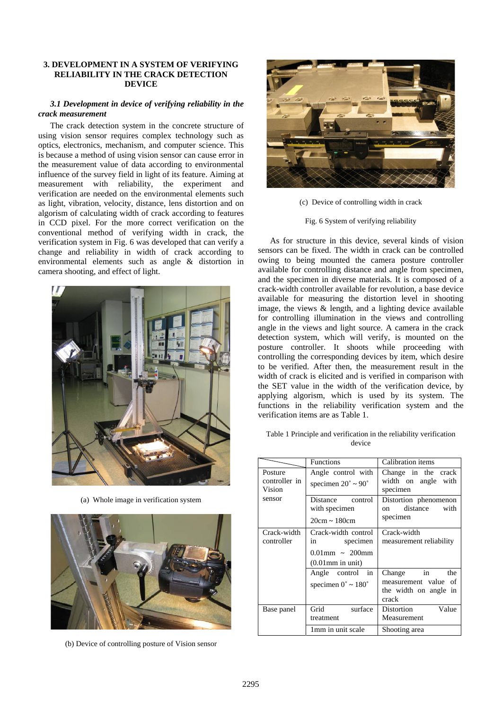## **3. DEVELOPMENT IN A SYSTEM OF VERIFYING RELIABILITY IN THE CRACK DETECTION DEVICE**

## *3.1 Development in device of verifying reliability in the crack measurement*

The crack detection system in the concrete structure of using vision sensor requires complex technology such as optics, electronics, mechanism, and computer science. This is because a method of using vision sensor can cause error in the measurement value of data according to environmental influence of the survey field in light of its feature. Aiming at measurement with reliability, the experiment and verification are needed on the environmental elements such as light, vibration, velocity, distance, lens distortion and on algorism of calculating width of crack according to features in CCD pixel. For the more correct verification on the conventional method of verifying width in crack, the verification system in Fig. 6 was developed that can verify a change and reliability in width of crack according to environmental elements such as angle & distortion in camera shooting, and effect of light.



(a) Whole image in verification system



(b) Device of controlling posture of Vision sensor



(c) Device of controlling width in crack

Fig. 6 System of verifying reliability

As for structure in this device, several kinds of vision sensors can be fixed. The width in crack can be controlled owing to being mounted the camera posture controller available for controlling distance and angle from specimen, and the specimen in diverse materials. It is composed of a crack-width controller available for revolution, a base device available for measuring the distortion level in shooting image, the views & length, and a lighting device available for controlling illumination in the views and controlling angle in the views and light source. A camera in the crack detection system, which will verify, is mounted on the posture controller. It shoots while proceeding with controlling the corresponding devices by item, which desire to be verified. After then, the measurement result in the width of crack is elicited and is verified in comparison with the SET value in the width of the verification device, by applying algorism, which is used by its system. The functions in the reliability verification system and the verification items are as Table 1.

Table 1 Principle and verification in the reliability verification device

|                                    | <b>Functions</b>                                                                  | Calibration items                                                              |
|------------------------------------|-----------------------------------------------------------------------------------|--------------------------------------------------------------------------------|
| Posture<br>controller in<br>Vision | Angle control with<br>specimen $20^{\circ} \sim 90^{\circ}$                       | Change in the crack<br>width on angle with<br>specimen                         |
| sensor                             | Distance control<br>with specimen<br>$20cm \sim 180cm$                            | Distortion phenomenon<br>distance<br>with<br>on<br>specimen                    |
| Crack-width<br>controller          | Crack-width control<br>specimen<br>in<br>$0.01$ mm ~ 200mm<br>$(0.01$ mm in unit) | Crack-width<br>measurement reliability                                         |
|                                    | Angle control in<br>specimen $0^{\circ} \sim 180^{\circ}$                         | $Change$ $in$<br>the<br>measurement value of<br>the width on angle in<br>crack |
| Base panel                         | Grid surface<br>treatment                                                         | Distortion<br>Value<br>Measurement                                             |
|                                    | 1mm in unit scale                                                                 | Shooting area                                                                  |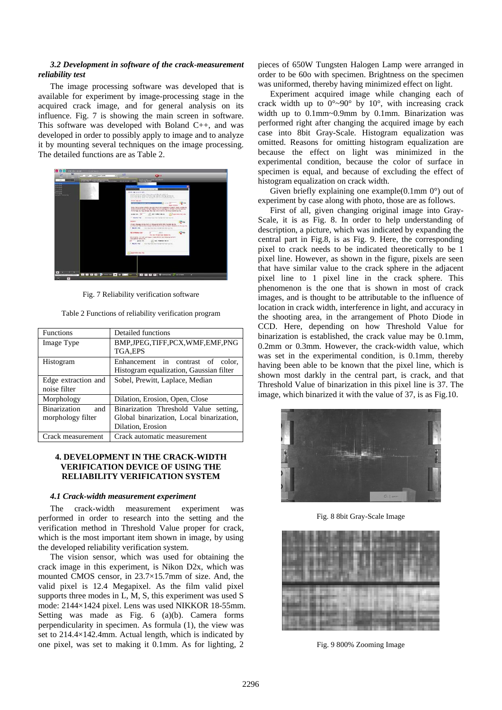## *3.2 Development in software of the crack-measurement reliability test*

The image processing software was developed that is available for experiment by image-processing stage in the acquired crack image, and for general analysis on its influence. Fig. 7 is showing the main screen in software. This software was developed with Boland C++, and was developed in order to possibly apply to image and to analyze it by mounting several techniques on the image processing. The detailed functions are as Table 2.



Fig. 7 Reliability verification software

Table 2 Functions of reliability verification program

| <b>Functions</b>           | Detailed functions                       |
|----------------------------|------------------------------------------|
| Image Type                 | BMP, JPEG, TIFF, PCX, WMF, EMF, PNG      |
|                            | TGA,EPS                                  |
| Histogram                  | Enhancement in contrast of color,        |
|                            | Histogram equalization, Gaussian filter  |
| Edge extraction and        | Sobel, Prewitt, Laplace, Median          |
| noise filter               |                                          |
| Morphology                 | Dilation, Erosion, Open, Close           |
| <b>Binarization</b><br>and | Binarization Threshold Value setting,    |
| morphology filter          | Global binarization, Local binarization, |
|                            | Dilation, Erosion                        |
| Crack measurement          | Crack automatic measurement              |

## **4. DEVELOPMENT IN THE CRACK-WIDTH VERIFICATION DEVICE OF USING THE RELIABILITY VERIFICATION SYSTEM**

## *4.1 Crack-width measurement experiment*

The crack-width measurement experiment was performed in order to research into the setting and the verification method in Threshold Value proper for crack, which is the most important item shown in image, by using the developed reliability verification system.

The vision sensor, which was used for obtaining the crack image in this experiment, is Nikon D2x, which was mounted CMOS censor, in 23.7×15.7mm of size. And, the valid pixel is 12.4 Megapixel. As the film valid pixel supports three modes in L, M, S, this experiment was used S mode: 2144×1424 pixel. Lens was used NIKKOR 18-55mm. Setting was made as Fig. 6 (a)(b). Camera forms perpendicularity in specimen. As formula (1), the view was set to 214.4×142.4mm. Actual length, which is indicated by one pixel, was set to making it 0.1mm. As for lighting, 2

pieces of 650W Tungsten Halogen Lamp were arranged in order to be 60o with specimen. Brightness on the specimen was uniformed, thereby having minimized effect on light.

Experiment acquired image while changing each of crack width up to  $0^{\circ} \sim 90^{\circ}$  by  $10^{\circ}$ , with increasing crack width up to 0.1mm~0.9mm by 0.1mm. Binarization was performed right after changing the acquired image by each case into 8bit Gray-Scale. Histogram equalization was omitted. Reasons for omitting histogram equalization are because the effect on light was minimized in the experimental condition, because the color of surface in specimen is equal, and because of excluding the effect of histogram equalization on crack width.

Given briefly explaining one example( $0.1$ mm  $0^{\circ}$ ) out of experiment by case along with photo, those are as follows.

First of all, given changing original image into Gray-Scale, it is as Fig. 8. In order to help understanding of description, a picture, which was indicated by expanding the central part in Fig.8, is as Fig. 9. Here, the corresponding pixel to crack needs to be indicated theoretically to be 1 pixel line. However, as shown in the figure, pixels are seen that have similar value to the crack sphere in the adjacent pixel line to 1 pixel line in the crack sphere. This phenomenon is the one that is shown in most of crack images, and is thought to be attributable to the influence of location in crack width, interference in light, and accuracy in the shooting area, in the arrangement of Photo Diode in CCD. Here, depending on how Threshold Value for binarization is established, the crack value may be 0.1mm, 0.2mm or 0.3mm. However, the crack-width value, which was set in the experimental condition, is 0.1mm, thereby having been able to be known that the pixel line, which is shown most darkly in the central part, is crack, and that Threshold Value of binarization in this pixel line is 37. The image, which binarized it with the value of 37, is as Fig.10.



Fig. 8 8bit Gray-Scale Image



Fig. 9 800% Zooming Image